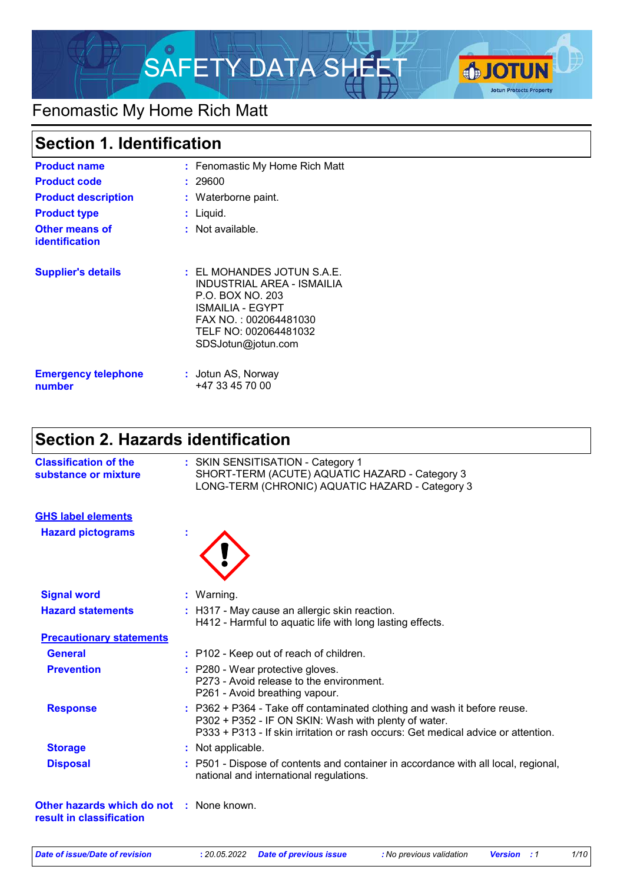

# Fenomastic My Home Rich Matt

## **Section 1. Identification**

| <b>Product name</b><br><b>Product code</b><br><b>Product description</b><br><b>Product type</b><br><b>Other means of</b><br><b>identification</b> | : Fenomastic My Home Rich Matt<br>: 29600<br>: Waterborne paint.<br>: Liquid.<br>$:$ Not available.                                                                          |
|---------------------------------------------------------------------------------------------------------------------------------------------------|------------------------------------------------------------------------------------------------------------------------------------------------------------------------------|
| <b>Supplier's details</b>                                                                                                                         | $\pm$ EL MOHANDES JOTUN S.A.E.<br>INDUSTRIAL AREA - ISMAILIA<br>P.O. BOX NO. 203<br>ISMAILIA - EGYPT<br>FAX NO.: 002064481030<br>TELF NO: 002064481032<br>SDSJotun@jotun.com |
| <b>Emergency telephone</b><br>number                                                                                                              | : Jotun AS, Norway<br>+47 33 45 70 00                                                                                                                                        |

# **Section 2. Hazards identification**

| <b>Classification of the</b><br>substance or mixture   | : SKIN SENSITISATION - Category 1<br>SHORT-TERM (ACUTE) AQUATIC HAZARD - Category 3<br>LONG-TERM (CHRONIC) AQUATIC HAZARD - Category 3                                                                                |
|--------------------------------------------------------|-----------------------------------------------------------------------------------------------------------------------------------------------------------------------------------------------------------------------|
| <b>GHS label elements</b>                              |                                                                                                                                                                                                                       |
| <b>Hazard pictograms</b>                               |                                                                                                                                                                                                                       |
| <b>Signal word</b>                                     | $:$ Warning.                                                                                                                                                                                                          |
| <b>Hazard statements</b>                               | : H317 - May cause an allergic skin reaction.<br>H412 - Harmful to aquatic life with long lasting effects.                                                                                                            |
| <b>Precautionary statements</b>                        |                                                                                                                                                                                                                       |
| <b>General</b>                                         | : P102 - Keep out of reach of children.                                                                                                                                                                               |
| <b>Prevention</b>                                      | : P280 - Wear protective gloves.<br>P273 - Avoid release to the environment.<br>P261 - Avoid breathing vapour.                                                                                                        |
| <b>Response</b>                                        | : P362 + P364 - Take off contaminated clothing and wash it before reuse.<br>P302 + P352 - IF ON SKIN: Wash with plenty of water.<br>P333 + P313 - If skin irritation or rash occurs: Get medical advice or attention. |
| <b>Storage</b>                                         | : Not applicable.                                                                                                                                                                                                     |
| <b>Disposal</b>                                        | : P501 - Dispose of contents and container in accordance with all local, regional,<br>national and international regulations.                                                                                         |
| Other hazards which do not<br>result in classification | : None known.                                                                                                                                                                                                         |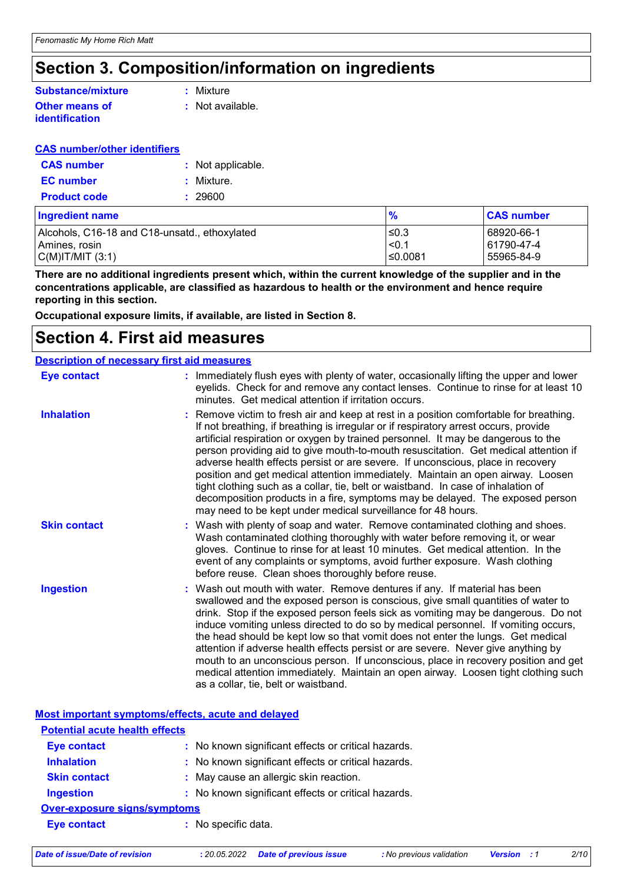# **Section 3. Composition/information on ingredients**

#### **Other means of Substance/mixture**

## **identification**

**:** Mixture

**:** Not available.

#### **CAS number/other identifiers**

| <b>CAS number</b>   | : Not applicable. |  |
|---------------------|-------------------|--|
| <b>EC</b> number    | : Mixture.        |  |
| <b>Product code</b> | : 29600           |  |

| Ingredient name                               | $\frac{9}{6}$ | <b>CAS number</b> |
|-----------------------------------------------|---------------|-------------------|
| Alcohols, C16-18 and C18-unsatd., ethoxylated | ≤0.3          | l 68920-66-1      |
| l Amines. rosin                               | $\leq 0$ .    | 61790-47-4        |
| C(M) T/M T(3:1)                               | ≤0.0081       | 55965-84-9        |

**There are no additional ingredients present which, within the current knowledge of the supplier and in the concentrations applicable, are classified as hazardous to health or the environment and hence require reporting in this section.**

**Occupational exposure limits, if available, are listed in Section 8.**

### **Section 4. First aid measures**

| <b>Description of necessary first aid measures</b> |                                                                                                                                                                                                                                                                                                                                                                                                                                                                                                                                                                                                                                                                                                                                                                        |
|----------------------------------------------------|------------------------------------------------------------------------------------------------------------------------------------------------------------------------------------------------------------------------------------------------------------------------------------------------------------------------------------------------------------------------------------------------------------------------------------------------------------------------------------------------------------------------------------------------------------------------------------------------------------------------------------------------------------------------------------------------------------------------------------------------------------------------|
| <b>Eye contact</b>                                 | : Immediately flush eyes with plenty of water, occasionally lifting the upper and lower<br>eyelids. Check for and remove any contact lenses. Continue to rinse for at least 10<br>minutes. Get medical attention if irritation occurs.                                                                                                                                                                                                                                                                                                                                                                                                                                                                                                                                 |
| <b>Inhalation</b>                                  | : Remove victim to fresh air and keep at rest in a position comfortable for breathing.<br>If not breathing, if breathing is irregular or if respiratory arrest occurs, provide<br>artificial respiration or oxygen by trained personnel. It may be dangerous to the<br>person providing aid to give mouth-to-mouth resuscitation. Get medical attention if<br>adverse health effects persist or are severe. If unconscious, place in recovery<br>position and get medical attention immediately. Maintain an open airway. Loosen<br>tight clothing such as a collar, tie, belt or waistband. In case of inhalation of<br>decomposition products in a fire, symptoms may be delayed. The exposed person<br>may need to be kept under medical surveillance for 48 hours. |
| <b>Skin contact</b>                                | : Wash with plenty of soap and water. Remove contaminated clothing and shoes.<br>Wash contaminated clothing thoroughly with water before removing it, or wear<br>gloves. Continue to rinse for at least 10 minutes. Get medical attention. In the<br>event of any complaints or symptoms, avoid further exposure. Wash clothing<br>before reuse. Clean shoes thoroughly before reuse.                                                                                                                                                                                                                                                                                                                                                                                  |
| <b>Ingestion</b>                                   | : Wash out mouth with water. Remove dentures if any. If material has been<br>swallowed and the exposed person is conscious, give small quantities of water to<br>drink. Stop if the exposed person feels sick as vomiting may be dangerous. Do not<br>induce vomiting unless directed to do so by medical personnel. If vomiting occurs,<br>the head should be kept low so that vomit does not enter the lungs. Get medical<br>attention if adverse health effects persist or are severe. Never give anything by<br>mouth to an unconscious person. If unconscious, place in recovery position and get<br>medical attention immediately. Maintain an open airway. Loosen tight clothing such<br>as a collar, tie, belt or waistband.                                   |

|                                       | Most important symptoms/effects, acute and delayed  |  |
|---------------------------------------|-----------------------------------------------------|--|
| <b>Potential acute health effects</b> |                                                     |  |
| <b>Eye contact</b>                    | : No known significant effects or critical hazards. |  |
| <b>Inhalation</b>                     | : No known significant effects or critical hazards. |  |
| <b>Skin contact</b>                   | : May cause an allergic skin reaction.              |  |
| <b>Ingestion</b>                      | : No known significant effects or critical hazards. |  |
| <b>Over-exposure signs/symptoms</b>   |                                                     |  |
| <b>Eye contact</b>                    | : No specific data.                                 |  |
|                                       |                                                     |  |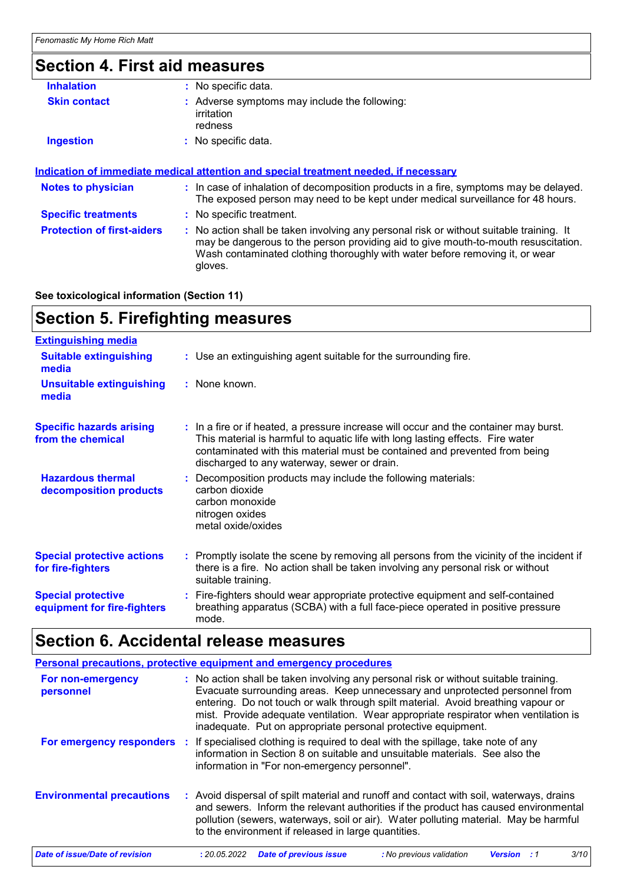# **Section 4. First aid measures**

| <b>Inhalation</b>                 | : No specific data.                                                                                                                                                                                                                                                      |
|-----------------------------------|--------------------------------------------------------------------------------------------------------------------------------------------------------------------------------------------------------------------------------------------------------------------------|
| <b>Skin contact</b>               | : Adverse symptoms may include the following:<br>irritation<br>redness                                                                                                                                                                                                   |
| <b>Ingestion</b>                  | : No specific data.                                                                                                                                                                                                                                                      |
| <b>Notes to physician</b>         | : In case of inhalation of decomposition products in a fire, symptoms may be delayed.<br>The exposed person may need to be kept under medical surveillance for 48 hours.                                                                                                 |
|                                   |                                                                                                                                                                                                                                                                          |
| <b>Specific treatments</b>        | : No specific treatment.                                                                                                                                                                                                                                                 |
| <b>Protection of first-aiders</b> | : No action shall be taken involving any personal risk or without suitable training. It<br>may be dangerous to the person providing aid to give mouth-to-mouth resuscitation.<br>Wash contaminated clothing thoroughly with water before removing it, or wear<br>gloves. |
|                                   |                                                                                                                                                                                                                                                                          |

**See toxicological information (Section 11)**

# **Section 5. Firefighting measures**

| <b>Extinguishing media</b>                               |                                                                                                                                                                                                                                                                                                      |
|----------------------------------------------------------|------------------------------------------------------------------------------------------------------------------------------------------------------------------------------------------------------------------------------------------------------------------------------------------------------|
| <b>Suitable extinguishing</b><br>media                   | : Use an extinguishing agent suitable for the surrounding fire.                                                                                                                                                                                                                                      |
| <b>Unsuitable extinguishing</b><br>media                 | : None known.                                                                                                                                                                                                                                                                                        |
| <b>Specific hazards arising</b><br>from the chemical     | : In a fire or if heated, a pressure increase will occur and the container may burst.<br>This material is harmful to aquatic life with long lasting effects. Fire water<br>contaminated with this material must be contained and prevented from being<br>discharged to any waterway, sewer or drain. |
| <b>Hazardous thermal</b><br>decomposition products       | : Decomposition products may include the following materials:<br>carbon dioxide<br>carbon monoxide<br>nitrogen oxides<br>metal oxide/oxides                                                                                                                                                          |
| <b>Special protective actions</b><br>for fire-fighters   | : Promptly isolate the scene by removing all persons from the vicinity of the incident if<br>there is a fire. No action shall be taken involving any personal risk or without<br>suitable training.                                                                                                  |
| <b>Special protective</b><br>equipment for fire-fighters | : Fire-fighters should wear appropriate protective equipment and self-contained<br>breathing apparatus (SCBA) with a full face-piece operated in positive pressure<br>mode.                                                                                                                          |

# **Section 6. Accidental release measures**

|                                  | <b>Personal precautions, protective equipment and emergency procedures</b>                                                                                                                                                                                                                                                                                                                                      |
|----------------------------------|-----------------------------------------------------------------------------------------------------------------------------------------------------------------------------------------------------------------------------------------------------------------------------------------------------------------------------------------------------------------------------------------------------------------|
| For non-emergency<br>personnel   | : No action shall be taken involving any personal risk or without suitable training.<br>Evacuate surrounding areas. Keep unnecessary and unprotected personnel from<br>entering. Do not touch or walk through spilt material. Avoid breathing vapour or<br>mist. Provide adequate ventilation. Wear appropriate respirator when ventilation is<br>inadequate. Put on appropriate personal protective equipment. |
| For emergency responders         | : If specialised clothing is required to deal with the spillage, take note of any<br>information in Section 8 on suitable and unsuitable materials. See also the<br>information in "For non-emergency personnel".                                                                                                                                                                                               |
| <b>Environmental precautions</b> | : Avoid dispersal of spilt material and runoff and contact with soil, waterways, drains<br>and sewers. Inform the relevant authorities if the product has caused environmental<br>pollution (sewers, waterways, soil or air). Water polluting material. May be harmful<br>to the environment if released in large quantities.                                                                                   |
| Date of issue/Date of revision   | 3/10<br><b>Date of previous issue</b><br>: 20.05.2022<br>: No previous validation<br>Version                                                                                                                                                                                                                                                                                                                    |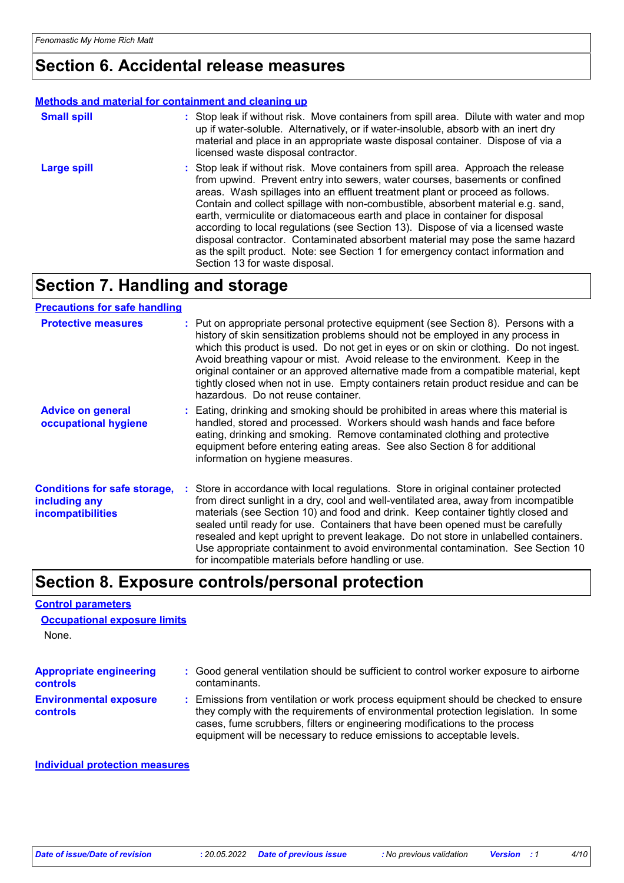## **Section 6. Accidental release measures**

#### **Methods and material for containment and cleaning up**

| <b>Small spill</b> | : Stop leak if without risk. Move containers from spill area. Dilute with water and mop<br>up if water-soluble. Alternatively, or if water-insoluble, absorb with an inert dry<br>material and place in an appropriate waste disposal container. Dispose of via a<br>licensed waste disposal contractor.                                                                                                                                                                                                                                                                                                                                                                                                          |
|--------------------|-------------------------------------------------------------------------------------------------------------------------------------------------------------------------------------------------------------------------------------------------------------------------------------------------------------------------------------------------------------------------------------------------------------------------------------------------------------------------------------------------------------------------------------------------------------------------------------------------------------------------------------------------------------------------------------------------------------------|
| <b>Large spill</b> | : Stop leak if without risk. Move containers from spill area. Approach the release<br>from upwind. Prevent entry into sewers, water courses, basements or confined<br>areas. Wash spillages into an effluent treatment plant or proceed as follows.<br>Contain and collect spillage with non-combustible, absorbent material e.g. sand,<br>earth, vermiculite or diatomaceous earth and place in container for disposal<br>according to local regulations (see Section 13). Dispose of via a licensed waste<br>disposal contractor. Contaminated absorbent material may pose the same hazard<br>as the spilt product. Note: see Section 1 for emergency contact information and<br>Section 13 for waste disposal. |

# **Section 7. Handling and storage**

#### **Precautions for safe handling**

| <b>Protective measures</b>                                                       | : Put on appropriate personal protective equipment (see Section 8). Persons with a<br>history of skin sensitization problems should not be employed in any process in<br>which this product is used. Do not get in eyes or on skin or clothing. Do not ingest.<br>Avoid breathing vapour or mist. Avoid release to the environment. Keep in the<br>original container or an approved alternative made from a compatible material, kept<br>tightly closed when not in use. Empty containers retain product residue and can be<br>hazardous. Do not reuse container.                  |
|----------------------------------------------------------------------------------|-------------------------------------------------------------------------------------------------------------------------------------------------------------------------------------------------------------------------------------------------------------------------------------------------------------------------------------------------------------------------------------------------------------------------------------------------------------------------------------------------------------------------------------------------------------------------------------|
| <b>Advice on general</b><br>occupational hygiene                                 | : Eating, drinking and smoking should be prohibited in areas where this material is<br>handled, stored and processed. Workers should wash hands and face before<br>eating, drinking and smoking. Remove contaminated clothing and protective<br>equipment before entering eating areas. See also Section 8 for additional<br>information on hygiene measures.                                                                                                                                                                                                                       |
| <b>Conditions for safe storage,</b><br>including any<br><b>incompatibilities</b> | : Store in accordance with local regulations. Store in original container protected<br>from direct sunlight in a dry, cool and well-ventilated area, away from incompatible<br>materials (see Section 10) and food and drink. Keep container tightly closed and<br>sealed until ready for use. Containers that have been opened must be carefully<br>resealed and kept upright to prevent leakage. Do not store in unlabelled containers.<br>Use appropriate containment to avoid environmental contamination. See Section 10<br>for incompatible materials before handling or use. |

### **Section 8. Exposure controls/personal protection**

#### **Control parameters**

None. **Occupational exposure limits**

| <b>Appropriate engineering</b>                   | : Good general ventilation should be sufficient to control worker exposure to airborne                                                                                                                                                                                                                                          |
|--------------------------------------------------|---------------------------------------------------------------------------------------------------------------------------------------------------------------------------------------------------------------------------------------------------------------------------------------------------------------------------------|
| <b>controls</b>                                  | contaminants.                                                                                                                                                                                                                                                                                                                   |
| <b>Environmental exposure</b><br><b>controls</b> | : Emissions from ventilation or work process equipment should be checked to ensure<br>they comply with the requirements of environmental protection legislation. In some<br>cases, fume scrubbers, filters or engineering modifications to the process<br>equipment will be necessary to reduce emissions to acceptable levels. |

#### **Individual protection measures**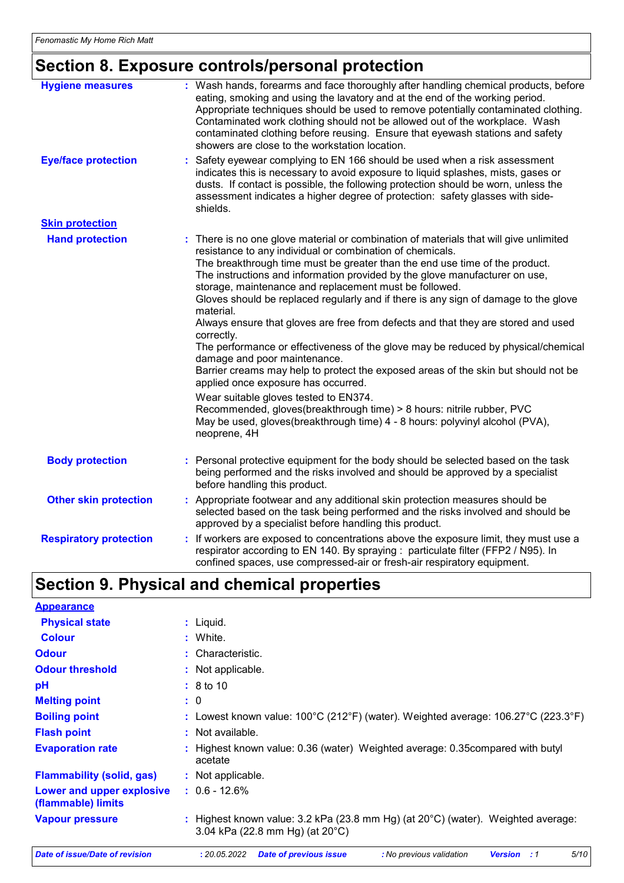# **Section 8. Exposure controls/personal protection**

| <b>Hygiene measures</b>       | : Wash hands, forearms and face thoroughly after handling chemical products, before<br>eating, smoking and using the lavatory and at the end of the working period.<br>Appropriate techniques should be used to remove potentially contaminated clothing.<br>Contaminated work clothing should not be allowed out of the workplace. Wash<br>contaminated clothing before reusing. Ensure that eyewash stations and safety<br>showers are close to the workstation location.                                                                                                                                                                                                                                                                                                                                                                                                                                                                                                                                                                           |
|-------------------------------|-------------------------------------------------------------------------------------------------------------------------------------------------------------------------------------------------------------------------------------------------------------------------------------------------------------------------------------------------------------------------------------------------------------------------------------------------------------------------------------------------------------------------------------------------------------------------------------------------------------------------------------------------------------------------------------------------------------------------------------------------------------------------------------------------------------------------------------------------------------------------------------------------------------------------------------------------------------------------------------------------------------------------------------------------------|
| <b>Eye/face protection</b>    | Safety eyewear complying to EN 166 should be used when a risk assessment<br>indicates this is necessary to avoid exposure to liquid splashes, mists, gases or<br>dusts. If contact is possible, the following protection should be worn, unless the<br>assessment indicates a higher degree of protection: safety glasses with side-<br>shields.                                                                                                                                                                                                                                                                                                                                                                                                                                                                                                                                                                                                                                                                                                      |
| <b>Skin protection</b>        |                                                                                                                                                                                                                                                                                                                                                                                                                                                                                                                                                                                                                                                                                                                                                                                                                                                                                                                                                                                                                                                       |
| <b>Hand protection</b>        | : There is no one glove material or combination of materials that will give unlimited<br>resistance to any individual or combination of chemicals.<br>The breakthrough time must be greater than the end use time of the product.<br>The instructions and information provided by the glove manufacturer on use,<br>storage, maintenance and replacement must be followed.<br>Gloves should be replaced regularly and if there is any sign of damage to the glove<br>material.<br>Always ensure that gloves are free from defects and that they are stored and used<br>correctly.<br>The performance or effectiveness of the glove may be reduced by physical/chemical<br>damage and poor maintenance.<br>Barrier creams may help to protect the exposed areas of the skin but should not be<br>applied once exposure has occurred.<br>Wear suitable gloves tested to EN374.<br>Recommended, gloves(breakthrough time) > 8 hours: nitrile rubber, PVC<br>May be used, gloves(breakthrough time) 4 - 8 hours: polyvinyl alcohol (PVA),<br>neoprene, 4H |
| <b>Body protection</b>        | : Personal protective equipment for the body should be selected based on the task<br>being performed and the risks involved and should be approved by a specialist<br>before handling this product.                                                                                                                                                                                                                                                                                                                                                                                                                                                                                                                                                                                                                                                                                                                                                                                                                                                   |
| <b>Other skin protection</b>  | : Appropriate footwear and any additional skin protection measures should be<br>selected based on the task being performed and the risks involved and should be<br>approved by a specialist before handling this product.                                                                                                                                                                                                                                                                                                                                                                                                                                                                                                                                                                                                                                                                                                                                                                                                                             |
| <b>Respiratory protection</b> | : If workers are exposed to concentrations above the exposure limit, they must use a<br>respirator according to EN 140. By spraying : particulate filter (FFP2 / N95). In<br>confined spaces, use compressed-air or fresh-air respiratory equipment.                                                                                                                                                                                                                                                                                                                                                                                                                                                                                                                                                                                                                                                                                                                                                                                                  |

# **Section 9. Physical and chemical properties**

| <b>Appearance</b>                               |                                                                                                                     |  |  |
|-------------------------------------------------|---------------------------------------------------------------------------------------------------------------------|--|--|
| <b>Physical state</b>                           | $:$ Liquid.                                                                                                         |  |  |
| <b>Colour</b>                                   | : White.                                                                                                            |  |  |
| <b>Odour</b>                                    | : Characteristic.                                                                                                   |  |  |
| <b>Odour threshold</b>                          | : Not applicable.                                                                                                   |  |  |
| рH                                              | $\div$ 8 to 10                                                                                                      |  |  |
| <b>Melting point</b>                            | : 0                                                                                                                 |  |  |
| <b>Boiling point</b>                            | : Lowest known value: $100^{\circ}$ C (212°F) (water). Weighted average: 106.27°C (223.3°F)                         |  |  |
| <b>Flash point</b>                              | : Not available.                                                                                                    |  |  |
| <b>Evaporation rate</b>                         | : Highest known value: 0.36 (water) Weighted average: 0.35 compared with butyl<br>acetate                           |  |  |
| <b>Flammability (solid, gas)</b>                | : Not applicable.                                                                                                   |  |  |
| Lower and upper explosive<br>(flammable) limits | $: 0.6 - 12.6%$                                                                                                     |  |  |
| <b>Vapour pressure</b>                          | : Highest known value: 3.2 kPa (23.8 mm Hg) (at 20°C) (water). Weighted average:<br>3.04 kPa (22.8 mm Hg) (at 20°C) |  |  |
| Date of issue/Date of revision                  | 5/10<br>: 20.05.2022<br><b>Date of previous issue</b><br>: No previous validation<br><b>Version</b><br>: 1          |  |  |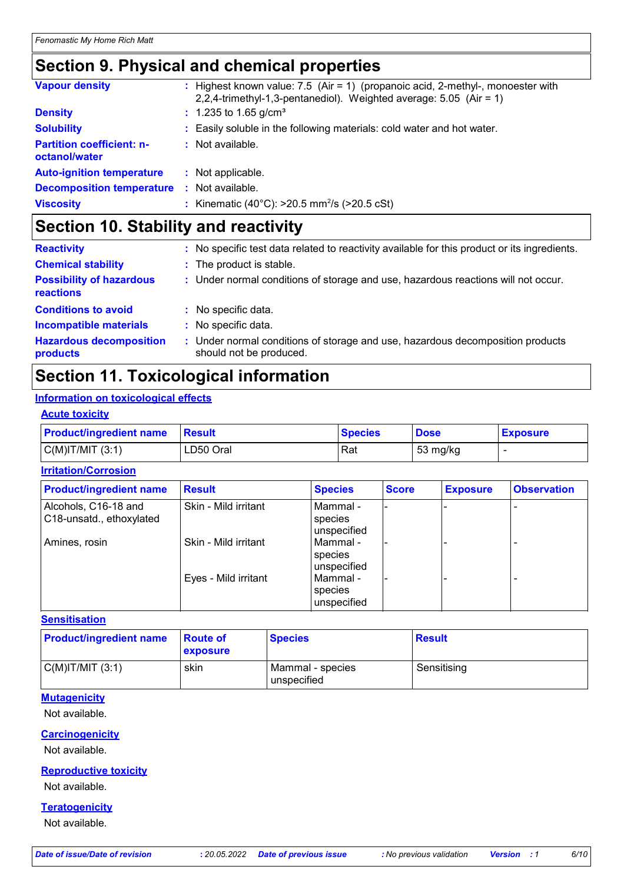# **Section 9. Physical and chemical properties**

| <b>Vapour density</b>                             | : Highest known value: $7.5$ (Air = 1) (propanoic acid, 2-methyl-, monoester with<br>2,2,4-trimethyl-1,3-pentanediol). Weighted average: $5.05$ (Air = 1) |
|---------------------------------------------------|-----------------------------------------------------------------------------------------------------------------------------------------------------------|
| <b>Density</b>                                    | $: 1.235$ to 1.65 g/cm <sup>3</sup>                                                                                                                       |
| <b>Solubility</b>                                 | : Easily soluble in the following materials: cold water and hot water.                                                                                    |
| <b>Partition coefficient: n-</b><br>octanol/water | : Not available.                                                                                                                                          |
| <b>Auto-ignition temperature</b>                  | : Not applicable.                                                                                                                                         |
| <b>Decomposition temperature</b>                  | : Not available.                                                                                                                                          |
| <b>Viscosity</b>                                  | : Kinematic (40°C): $>20.5$ mm <sup>2</sup> /s ( $>20.5$ cSt)                                                                                             |

# **Section 10. Stability and reactivity**

| <b>Reactivity</b>                                   | : No specific test data related to reactivity available for this product or its ingredients.              |
|-----------------------------------------------------|-----------------------------------------------------------------------------------------------------------|
| <b>Chemical stability</b>                           | : The product is stable.                                                                                  |
| <b>Possibility of hazardous</b><br><b>reactions</b> | : Under normal conditions of storage and use, hazardous reactions will not occur.                         |
| <b>Conditions to avoid</b>                          | : No specific data.                                                                                       |
| <b>Incompatible materials</b>                       | : No specific data.                                                                                       |
| <b>Hazardous decomposition</b><br>products          | : Under normal conditions of storage and use, hazardous decomposition products<br>should not be produced. |

# **Section 11. Toxicological information**

#### **Information on toxicological effects**

#### **Acute toxicity**

| <b>Product/ingredient name</b> | <b>Besult</b> | <b>Species</b> | <b>Dose</b> | <b>Exposure</b> |
|--------------------------------|---------------|----------------|-------------|-----------------|
| $C(M)$ IT/MIT $(3:1)$          | LD50 Oral     | Rat            | 53 mg/kg    |                 |

#### **Irritation/Corrosion**

| <b>Product/ingredient name</b>                   | <b>Result</b>        | <b>Species</b>                       | <b>Score</b> | <b>Exposure</b> | <b>Observation</b> |
|--------------------------------------------------|----------------------|--------------------------------------|--------------|-----------------|--------------------|
| Alcohols, C16-18 and<br>C18-unsatd., ethoxylated | Skin - Mild irritant | l Mammal -<br>species<br>unspecified |              |                 |                    |
| Amines, rosin                                    | Skin - Mild irritant | Mammal -<br>species<br>unspecified   |              |                 |                    |
|                                                  | Eyes - Mild irritant | l Mammal -<br>species<br>unspecified |              |                 |                    |

#### **Sensitisation**

| <b>Product/ingredient name</b> | ∣Route of<br>exposure | <b>Species</b>                  | <b>Result</b> |
|--------------------------------|-----------------------|---------------------------------|---------------|
| $C(M)$ IT/MIT $(3:1)$          | skin                  | Mammal - species<br>unspecified | Sensitising   |

#### **Mutagenicity**

Not available.

### **Carcinogenicity**

Not available.

#### **Reproductive toxicity**

Not available.

#### **Teratogenicity**

Not available.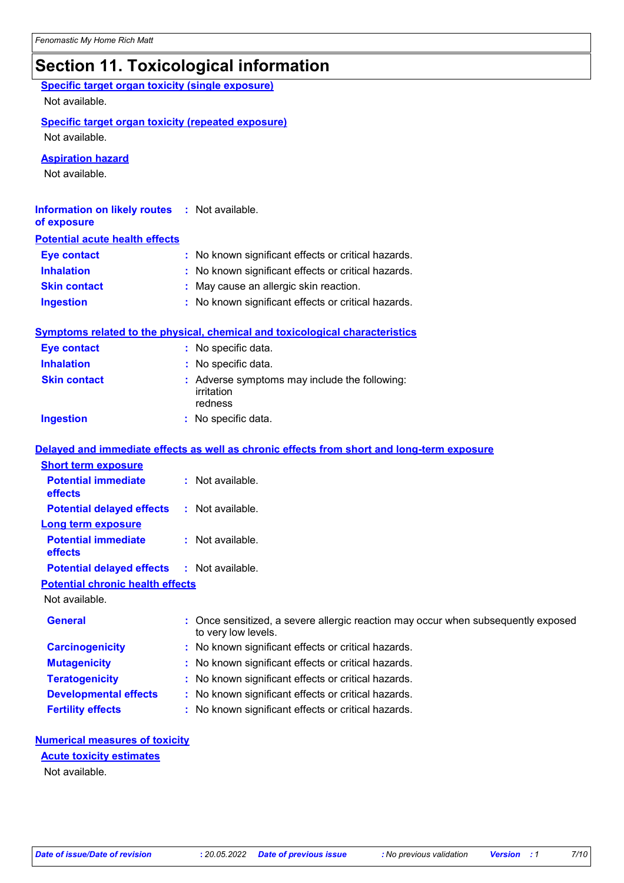# **Section 11. Toxicological information**

| <b>Specific target organ toxicity (single exposure)</b><br>Not available. |                                                                                                          |
|---------------------------------------------------------------------------|----------------------------------------------------------------------------------------------------------|
| <b>Specific target organ toxicity (repeated exposure)</b>                 |                                                                                                          |
| Not available.                                                            |                                                                                                          |
| <b>Aspiration hazard</b>                                                  |                                                                                                          |
| Not available.                                                            |                                                                                                          |
|                                                                           |                                                                                                          |
| <b>Information on likely routes</b><br>of exposure                        | : Not available.                                                                                         |
| <b>Potential acute health effects</b>                                     |                                                                                                          |
| <b>Eye contact</b>                                                        | : No known significant effects or critical hazards.                                                      |
| <b>Inhalation</b>                                                         | : No known significant effects or critical hazards.                                                      |
| <b>Skin contact</b>                                                       | May cause an allergic skin reaction.                                                                     |
| <b>Ingestion</b>                                                          | : No known significant effects or critical hazards.                                                      |
|                                                                           | <b>Symptoms related to the physical, chemical and toxicological characteristics</b>                      |
| <b>Eye contact</b>                                                        | : No specific data.                                                                                      |
| <b>Inhalation</b>                                                         | : No specific data.                                                                                      |
| <b>Skin contact</b>                                                       | : Adverse symptoms may include the following:<br>irritation<br>redness                                   |
| <b>Ingestion</b>                                                          | : No specific data.                                                                                      |
|                                                                           | Delayed and immediate effects as well as chronic effects from short and long-term exposure               |
| <b>Short term exposure</b>                                                |                                                                                                          |
| <b>Potential immediate</b>                                                | : Not available.                                                                                         |
| effects                                                                   |                                                                                                          |
| <b>Potential delayed effects</b>                                          | : Not available.                                                                                         |
| <b>Long term exposure</b>                                                 |                                                                                                          |
| <b>Potential immediate</b><br>effects                                     | : Not available.                                                                                         |
| <b>Potential delayed effects</b>                                          | : Not available.                                                                                         |
| <b>Potential chronic health effects</b>                                   |                                                                                                          |
| Not available.                                                            |                                                                                                          |
| <b>General</b>                                                            | : Once sensitized, a severe allergic reaction may occur when subsequently exposed<br>to very low levels. |
| <b>Carcinogenicity</b>                                                    | : No known significant effects or critical hazards.                                                      |
| <b>Mutagenicity</b>                                                       | : No known significant effects or critical hazards.                                                      |
| <b>Teratogenicity</b>                                                     | No known significant effects or critical hazards.                                                        |
| <b>Developmental effects</b>                                              | No known significant effects or critical hazards.                                                        |
| <b>Fertility effects</b>                                                  | No known significant effects or critical hazards.                                                        |
|                                                                           |                                                                                                          |
| <b>Numerical measures of toxicity</b><br><b>Acute toxicity estimates</b>  |                                                                                                          |

Not available.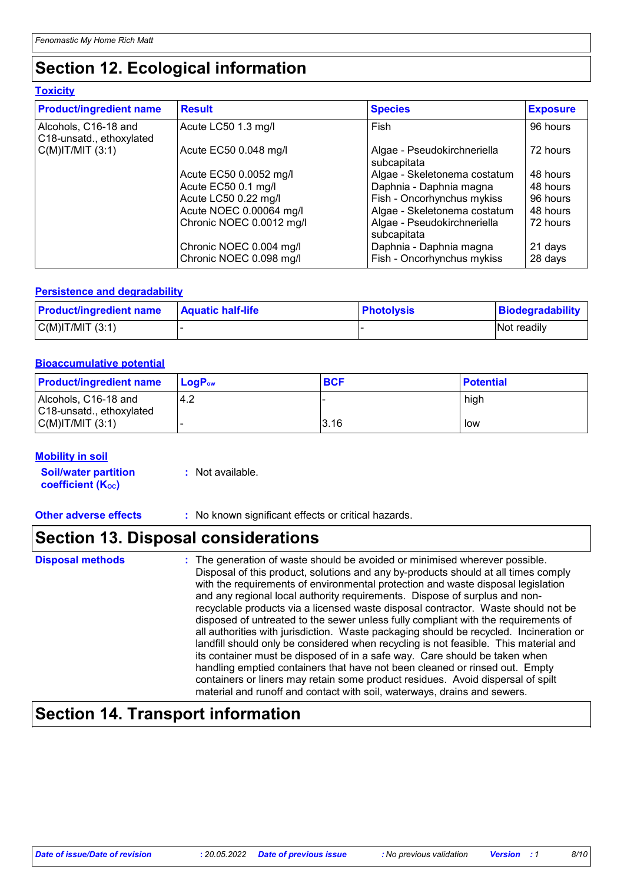# **Section 12. Ecological information**

#### **Toxicity**

| <b>Product/ingredient name</b>                   | <b>Result</b>            | <b>Species</b>                             | <b>Exposure</b> |
|--------------------------------------------------|--------------------------|--------------------------------------------|-----------------|
| Alcohols, C16-18 and<br>C18-unsatd., ethoxylated | Acute LC50 1.3 mg/l      | Fish                                       | 96 hours        |
| $C(M)$ IT/MIT $(3:1)$                            | Acute EC50 0.048 mg/l    | Algae - Pseudokirchneriella<br>subcapitata | 72 hours        |
|                                                  | Acute EC50 0.0052 mg/l   | Algae - Skeletonema costatum               | 48 hours        |
|                                                  | Acute EC50 0.1 mg/l      | Daphnia - Daphnia magna                    | 48 hours        |
|                                                  | Acute LC50 0.22 mg/l     | Fish - Oncorhynchus mykiss                 | 96 hours        |
|                                                  | Acute NOEC 0.00064 mg/l  | Algae - Skeletonema costatum               | 48 hours        |
|                                                  | Chronic NOEC 0.0012 mg/l | Algae - Pseudokirchneriella<br>subcapitata | 72 hours        |
|                                                  | Chronic NOEC 0.004 mg/l  | Daphnia - Daphnia magna                    | 21 days         |
|                                                  | Chronic NOEC 0.098 mg/l  | Fish - Oncorhynchus mykiss                 | 28 days         |

#### **Persistence and degradability**

| <b>Product/ingredient name</b> | <b>Aquatic half-life</b> | Photolysis | Biodegradability |
|--------------------------------|--------------------------|------------|------------------|
| $C(M)$ IT/MIT $(3:1)$          |                          |            | Not readily      |

#### **Bioaccumulative potential**

| <b>Product/ingredient name</b>                   | <b>LogP</b> <sub>ow</sub> | <b>BCF</b> | <b>Potential</b> |
|--------------------------------------------------|---------------------------|------------|------------------|
| Alcohols, C16-18 and<br>C18-unsatd., ethoxylated | -4.2                      |            | high             |
| $C(M)$ IT/MIT $(3:1)$                            |                           | 3.16       | low              |

#### **Mobility in soil**

| <b>Soil/water partition</b> | : Not available. |
|-----------------------------|------------------|
| <b>coefficient (Koc)</b>    |                  |

**Other adverse effects** : No known significant effects or critical hazards.

### **Section 13. Disposal considerations**

### **Disposal methods :**

The generation of waste should be avoided or minimised wherever possible. Disposal of this product, solutions and any by-products should at all times comply with the requirements of environmental protection and waste disposal legislation and any regional local authority requirements. Dispose of surplus and nonrecyclable products via a licensed waste disposal contractor. Waste should not be disposed of untreated to the sewer unless fully compliant with the requirements of all authorities with jurisdiction. Waste packaging should be recycled. Incineration or landfill should only be considered when recycling is not feasible. This material and its container must be disposed of in a safe way. Care should be taken when handling emptied containers that have not been cleaned or rinsed out. Empty containers or liners may retain some product residues. Avoid dispersal of spilt material and runoff and contact with soil, waterways, drains and sewers.

## **Section 14. Transport information**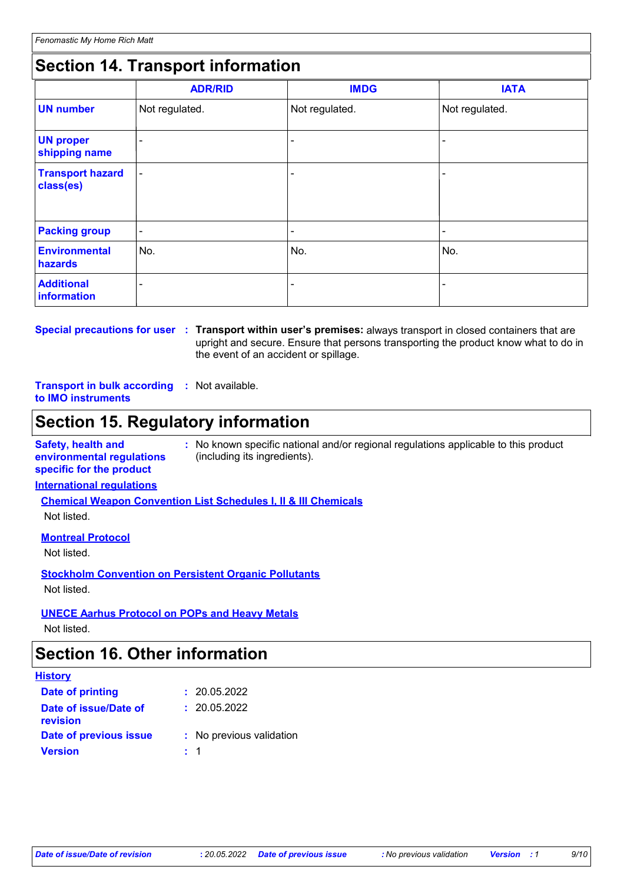# **Section 14. Transport information**

|                                      | <b>ADR/RID</b> | <b>IMDG</b>    | <b>IATA</b>    |
|--------------------------------------|----------------|----------------|----------------|
| <b>UN number</b>                     | Not regulated. | Not regulated. | Not regulated. |
| <b>UN proper</b><br>shipping name    |                |                |                |
| <b>Transport hazard</b><br>class(es) | ۰              |                |                |
| <b>Packing group</b>                 | $\blacksquare$ | -              | ۰              |
| <b>Environmental</b><br>hazards      | No.            | No.            | No.            |
| <b>Additional</b><br>information     |                |                |                |

# **Special precautions for user Transport within user's premises:** always transport in closed containers that are **:**

upright and secure. Ensure that persons transporting the product know what to do in the event of an accident or spillage.

#### **Transport in bulk according :** Not available. **to IMO instruments**

# **Section 15. Regulatory information**

**Safety, health and environmental regulations specific for the product :** No known specific national and/or regional regulations applicable to this product (including its ingredients).

#### **International regulations**

**Chemical Weapon Convention List Schedules I, II & III Chemicals**

Not listed.

#### **Montreal Protocol**

Not listed.

**Stockholm Convention on Persistent Organic Pollutants** Not listed.

#### **UNECE Aarhus Protocol on POPs and Heavy Metals**

Not listed.

## **Section 16. Other information**

| <b>History</b>                           |                          |
|------------------------------------------|--------------------------|
| <b>Date of printing</b>                  | : 20.05.2022             |
| Date of issue/Date of<br><b>revision</b> | : 20.05.2022             |
| Date of previous issue                   | : No previous validation |
| <b>Version</b>                           | $\pm$ 1                  |